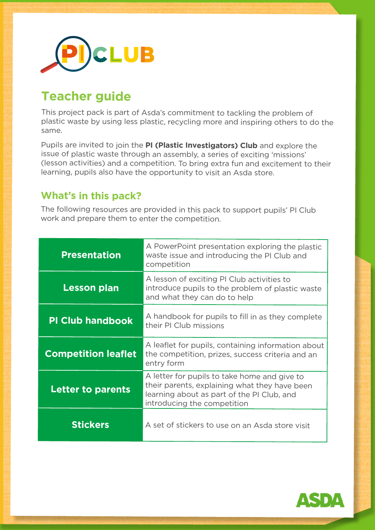

# **Teacher guide**

This project pack is part of Asda's commitment to tackling the problem of plastic waste by using less plastic, recycling more and inspiring others to do the same.

Pupils are invited to join the **PI (Plastic Investigators) Club** and explore the issue of plastic waste through an assembly, a series of exciting 'missions' (lesson activities) and a competition. To bring extra fun and excitement to their learning, pupils also have the opportunity to visit an Asda store.

# **What's in this pack?**

The following resources are provided in this pack to support pupils' PI Club work and prepare them to enter the competition.

| <b>Presentation</b>        | A PowerPoint presentation exploring the plastic<br>waste issue and introducing the PI Club and<br>competition                                                              |
|----------------------------|----------------------------------------------------------------------------------------------------------------------------------------------------------------------------|
| <b>Lesson plan</b>         | A lesson of exciting PI Club activities to<br>introduce pupils to the problem of plastic waste<br>and what they can do to help                                             |
| <b>PI Club handbook</b>    | A handbook for pupils to fill in as they complete<br>their PI Club missions                                                                                                |
| <b>Competition leaflet</b> | A leaflet for pupils, containing information about<br>the competition, prizes, success criteria and an<br>entry form                                                       |
| <b>Letter to parents</b>   | A letter for pupils to take home and give to<br>their parents, explaining what they have been<br>learning about as part of the PI Club, and<br>introducing the competition |
| <b>Stickers</b>            | A set of stickers to use on an Asda store visit                                                                                                                            |

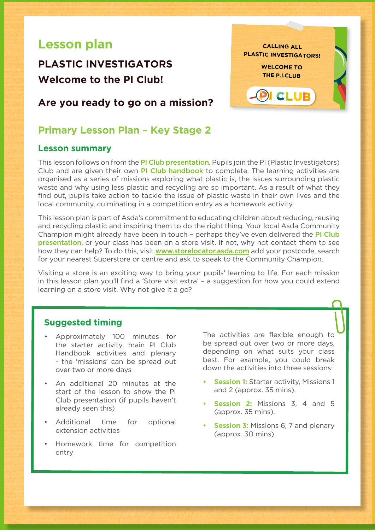# **Lesson plan**

# **PLASTIC INVESTIGATORS Welcome to the PI Club!**

## **Are you ready to go on a mission?**

## **Primary Lesson Plan – Key Stage 2**

#### **Lesson summary**

This lesson follows on from the PI Club presentation. Pupils join the PI (Plastic Investigators) **…………………** Club and are given their own PI Club handbook to complete. The learning activities are organised as a series of missions exploring what plastic is, the issues surrounding plastic waste and why using less plastic and recycling are so important. As a result of what they find out, pupils take action to tackle the issue of plastic waste in their own lives and the local community, culminating in a competition entry as a homework activity.

This lesson plan is part of Asda's commitment to educating children about reducing, reusing and recycling plastic and inspiring them to do the right thing. Your local Asda Community Champion might already have been in touch - perhaps they've even delivered the **PI Club** presentation, or your class has been on a store visit. If not, why not contact them to see how they can help? To do this, visit www.storelocator.asda.com add your postcode, search for your nearest Superstore or centre and ask to speak to the Community Champion.

Visiting a store is an exciting way to bring your pupils' learning to life. For each mission in this lesson plan you'll find a 'Store visit extra' – a suggestion for how you could extend learning on a store visit. Why not give it a go?

#### **Suggested timing**

- Approximately 100 minutes for the starter activity, main PI Club Handbook activities and plenary - the 'missions' can be spread out over two or more days
- An additional 20 minutes at the start of the lesson to show the PI Club presentation (if pupils haven't already seen this)
- Additional time for optional extension activities
- Homework time for competition entry

The activities are flexible enough to be spread out over two or more days, depending on what suits your class best. For example, you could break down the activities into three sessions:

- **Session 1:** Starter activity, Missions 1 and 2 (approx. 35 mins).
- **• Session 2:** Missions 3, 4 and 5 (approx. 35 mins).
- **Session 3: Missions 6, 7 and plenary** (approx. 30 mins).

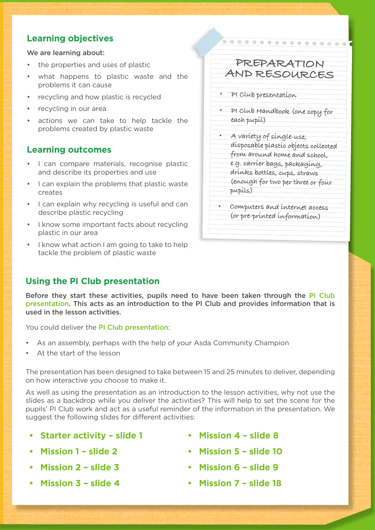## **Learning objectives**

We are learning about:

- the properties and uses of plastic
- what happens to plastic waste and the problems it can cause
- recycling and how plastic is recycled
- recycling in our area
- actions we can take to help tackle the problems created by plastic waste

## **Learning outcomes**

- I can compare materials, recognise plastic and describe its properties and use
- I can explain the problems that plastic waste creates
- I can explain why recycling is useful and can describe plastic recycling
- I know some important facts about recycling plastic in our area
- I know what action I am going to take to help tackle the problem of plastic waste

# **Using the PI Club presentation**

Before they start these activities, pupils need to have been taken through the PI Club presentation. This acts as an introduction to the PI Club and provides information that is used in the lesson activities.

You could deliver the PI Club presentation:

- As an assembly, perhaps with the help of your Asda Community Champion
- At the start of the lesson

The presentation has been designed to take between 15 and 25 minutes to deliver, depending on how interactive you choose to make it.

As well as using the presentation as an introduction to the lesson activities, why not use the slides as a backdrop while you deliver the activities? This will help to set the scene for the pupils' PI Club work and act as a useful reminder of the information in the presentation. We suggest the following slides for different activities:

- **• Starter activity slide 1**
- **• Mission 1 slide 2**
- **• Mission 2 slide 3**
- **• Mission 3 slide 4**
- **• Mission 4 slide 8**
- **• Mission 5 slide 10**
- **• Mission 6 slide 9**
- **• Mission 7 slide 18**

**• PI Club presentation • PI Club Handbook (one copy for each pupil)**

**PREPARATION AND RESOURCES**

..............

- **• A variety of single-use, disposable plastic objects collected from around home and school,**
- **e.g. carrier bags, packaging,**
- **drinks bottles, cups, straws** 
	- **(enough for two per three or four pupils)**
- **• Computers and internet access (or pre-printed information)**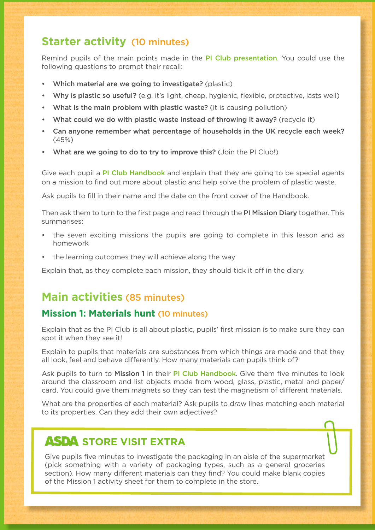# **Starter activity** (10 minutes)

Remind pupils of the main points made in the PI Club presentation. You could use the following questions to prompt their recall:

- Which material are we going to investigate? (plastic)
- Why is plastic so useful? (e.g. it's light, cheap, hygienic, flexible, protective, lasts well)
- What is the main problem with plastic waste? (it is causing pollution)
- What could we do with plastic waste instead of throwing it away? (recycle it)
- Can anyone remember what percentage of households in the UK recycle each week? (45%)
- What are we going to do to try to improve this? (Join the PI Club!)

Give each pupil a PI Club Handbook and explain that they are going to be special agents on a mission to find out more about plastic and help solve the problem of plastic waste.

Ask pupils to fill in their name and the date on the front cover of the Handbook.

Then ask them to turn to the first page and read through the PI Mission Diary together. This summarises:

- the seven exciting missions the pupils are going to complete in this lesson and as homework
- the learning outcomes they will achieve along the way

Explain that, as they complete each mission, they should tick it off in the diary.

# **Main activities** (85 minutes)

## **Mission 1: Materials hunt** (10 minutes)

Explain that as the PI Club is all about plastic, pupils' first mission is to make sure they can spot it when they see it!

Explain to pupils that materials are substances from which things are made and that they all look, feel and behave differently. How many materials can pupils think of?

Ask pupils to turn to Mission 1 in their PI Club Handbook. Give them five minutes to look around the classroom and list objects made from wood, glass, plastic, metal and paper/ card. You could give them magnets so they can test the magnetism of different materials.

What are the properties of each material? Ask pupils to draw lines matching each material to its properties. Can they add their own adjectives?

# **ASDA STORE VISIT EXTRA**

Give pupils five minutes to investigate the packaging in an aisle of the supermarket (pick something with a variety of packaging types, such as a general groceries section). How many different materials can they find? You could make blank copies of the Mission 1 activity sheet for them to complete in the store.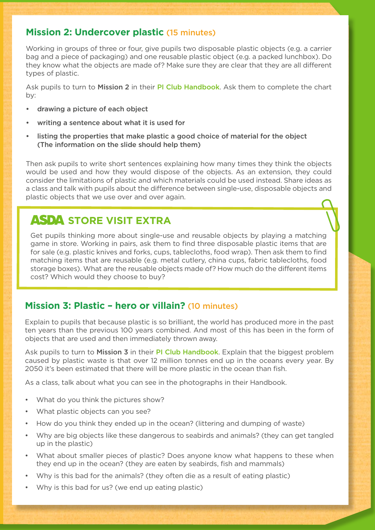## **Mission 2: Undercover plastic** (15 minutes)

Working in groups of three or four, give pupils two disposable plastic objects (e.g. a carrier bag and a piece of packaging) and one reusable plastic object (e.g. a packed lunchbox). Do they know what the objects are made of? Make sure they are clear that they are all different types of plastic.

Ask pupils to turn to Mission 2 in their PI Club Handbook. Ask them to complete the chart by:

- drawing a picture of each object
- writing a sentence about what it is used for
- listing the properties that make plastic a good choice of material for the object (The information on the slide should help them)

Then ask pupils to write short sentences explaining how many times they think the objects would be used and how they would dispose of the objects. As an extension, they could consider the limitations of plastic and which materials could be used instead. Share ideas as a class and talk with pupils about the difference between single-use, disposable objects and plastic objects that we use over and over again.

# **ASDA STORE VISIT EXTRA**

Get pupils thinking more about single-use and reusable objects by playing a matching game in store. Working in pairs, ask them to find three disposable plastic items that are for sale (e.g. plastic knives and forks, cups, tablecloths, food wrap). Then ask them to find matching items that are reusable (e.g. metal cutlery, china cups, fabric tablecloths, food storage boxes). What are the reusable objects made of? How much do the different items cost? Which would they choose to buy?

## **Mission 3: Plastic – hero or villain?** (10 minutes)

Explain to pupils that because plastic is so brilliant, the world has produced more in the past ten years than the previous 100 years combined. And most of this has been in the form of objects that are used and then immediately thrown away.

Ask pupils to turn to Mission 3 in their PI Club Handbook. Explain that the biggest problem caused by plastic waste is that over 12 million tonnes end up in the oceans every year. By 2050 it's been estimated that there will be more plastic in the ocean than fish.

As a class, talk about what you can see in the photographs in their Handbook.

- What do you think the pictures show?
- What plastic objects can you see?
- How do you think they ended up in the ocean? (littering and dumping of waste)
- Why are big objects like these dangerous to seabirds and animals? (they can get tangled up in the plastic)
- What about smaller pieces of plastic? Does anyone know what happens to these when they end up in the ocean? (they are eaten by seabirds, fish and mammals)
- Why is this bad for the animals? (they often die as a result of eating plastic)
- Why is this bad for us? (we end up eating plastic)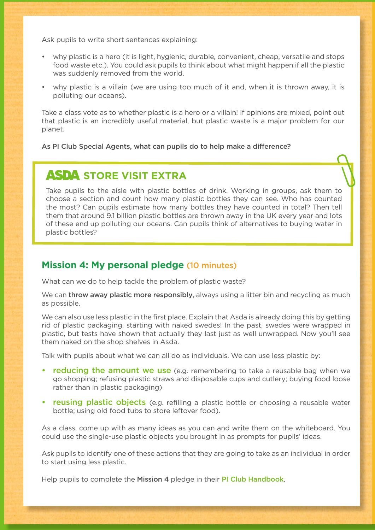Ask pupils to write short sentences explaining:

- why plastic is a hero (it is light, hygienic, durable, convenient, cheap, versatile and stops food waste etc.). You could ask pupils to think about what might happen if all the plastic was suddenly removed from the world.
- why plastic is a villain (we are using too much of it and, when it is thrown away, it is polluting our oceans).

Take a class vote as to whether plastic is a hero or a villain! If opinions are mixed, point out that plastic is an incredibly useful material, but plastic waste is a major problem for our planet.

As PI Club Special Agents, what can pupils do to help make a difference?

# **ASDA STORE VISIT EXTRA**

Take pupils to the aisle with plastic bottles of drink. Working in groups, ask them to choose a section and count how many plastic bottles they can see. Who has counted the most? Can pupils estimate how many bottles they have counted in total? Then tell them that around 9.1 billion plastic bottles are thrown away in the UK every year and lots of these end up polluting our oceans. Can pupils think of alternatives to buying water in plastic bottles?

### **Mission 4: My personal pledge** (10 minutes)

What can we do to help tackle the problem of plastic waste?

We can **throw away plastic more responsibly**, always using a litter bin and recycling as much as possible.

We can also use less plastic in the first place. Explain that Asda is already doing this by getting rid of plastic packaging, starting with naked swedes! In the past, swedes were wrapped in plastic, but tests have shown that actually they last just as well unwrapped. Now you'll see them naked on the shop shelves in Asda.

Talk with pupils about what we can all do as individuals. We can use less plastic by:

- reducing the amount we use (e.g. remembering to take a reusable bag when we go shopping; refusing plastic straws and disposable cups and cutlery; buying food loose rather than in plastic packaging)
- reusing plastic objects (e.g. refilling a plastic bottle or choosing a reusable water bottle; using old food tubs to store leftover food).

As a class, come up with as many ideas as you can and write them on the whiteboard. You could use the single-use plastic objects you brought in as prompts for pupils' ideas.

Ask pupils to identify one of these actions that they are going to take as an individual in order to start using less plastic.

Help pupils to complete the Mission 4 pledge in their PI Club Handbook.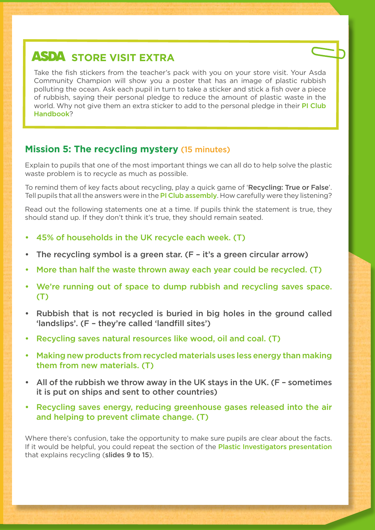# **ASDA STORE VISIT EXTRA**

Take the fish stickers from the teacher's pack with you on your store visit. Your Asda Community Champion will show you a poster that has an image of plastic rubbish polluting the ocean. Ask each pupil in turn to take a sticker and stick a fish over a piece of rubbish, saying their personal pledge to reduce the amount of plastic waste in the world. Why not give them an extra sticker to add to the personal pledge in their **PI Club** Handbook?

## **Mission 5: The recycling mystery** (15 minutes)

Explain to pupils that one of the most important things we can all do to help solve the plastic waste problem is to recycle as much as possible.

To remind them of key facts about recycling, play a quick game of 'Recycling: True or False'. Tell pupils that all the answers were in the PI Club assembly. How carefully were they listening?

Read out the following statements one at a time. If pupils think the statement is true, they should stand up. If they don't think it's true, they should remain seated.

- 45% of households in the UK recycle each week. (T)
- The recycling symbol is a green star. (F it's a green circular arrow)
- More than half the waste thrown away each year could be recycled. (T)
- We're running out of space to dump rubbish and recycling saves space. (T)
- Rubbish that is not recycled is buried in big holes in the ground called 'landslips'. (F – they're called 'landfill sites')
- Recycling saves natural resources like wood, oil and coal. (T)
- Making new products from recycled materials uses less energy than making them from new materials. (T)
- All of the rubbish we throw away in the UK stays in the UK. (F sometimes it is put on ships and sent to other countries)
- Recycling saves energy, reducing greenhouse gases released into the air and helping to prevent climate change. (T)

Where there's confusion, take the opportunity to make sure pupils are clear about the facts. If it would be helpful, you could repeat the section of the **Plastic Investigators presentation** that explains recycling (slides 9 to 15).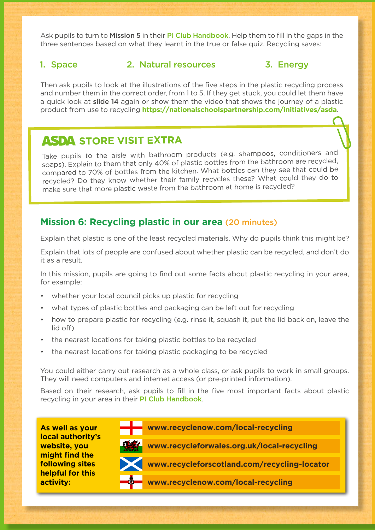Ask pupils to turn to Mission 5 in their PI Club Handbook. Help them to fill in the gaps in the three sentences based on what they learnt in the true or false quiz. Recycling saves:

#### 1. Space 2. Natural resources 3. Energy

Then ask pupils to look at the illustrations of the five steps in the plastic recycling process and number them in the correct order, from 1 to 5. If they get stuck, you could let them have a quick look at slide 14 again or show them the video that shows the journey of a plastic product from use to recycling **https://nationalschoolspartnership.com/initiatives/asda**.

# **ASDA STORE VISIT EXTRA**

Take pupils to the aisle with bathroom products (e.g. shampoos, conditioners and soaps). Explain to them that only 40% of plastic bottles from the bathroom are recycled, compared to 70% of bottles from the kitchen. What bottles can they see that could be recycled? Do they know whether their family recycles these? What could they do to make sure that more plastic waste from the bathroom at home is recycled?

## **Mission 6: Recycling plastic in our area** (20 minutes)

Explain that plastic is one of the least recycled materials. Why do pupils think this might be?

Explain that lots of people are confused about whether plastic can be recycled, and don't do it as a result.

In this mission, pupils are going to find out some facts about plastic recycling in your area, for example:

- whether your local council picks up plastic for recycling
- what types of plastic bottles and packaging can be left out for recycling
- how to prepare plastic for recycling (e.g. rinse it, squash it, put the lid back on, leave the lid off)
- the nearest locations for taking plastic bottles to be recycled
- the nearest locations for taking plastic packaging to be recycled

You could either carry out research as a whole class, or ask pupils to work in small groups. They will need computers and internet access (or pre-printed information).

Based on their research, ask pupils to fill in the five most important facts about plastic recycling in your area in their PI Club Handbook.

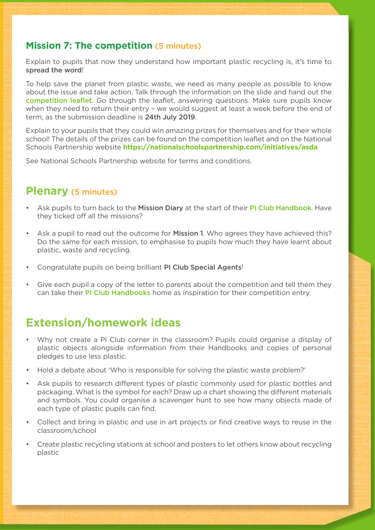## **Mission 7: The competition** (5 minutes)

Explain to pupils that now they understand how important plastic recycling is, it's time to spread the word!

To help save the planet from plastic waste, we need as many people as possible to know about the issue and take action. Talk through the information on the slide and hand out the competition leaflet. Go through the leaflet, answering questions. Make sure pupils know when they need to return their entry – we would suggest at least a week before the end of term, as the submission deadline is 24th July 2019.

Explain to your pupils that they could win amazing prizes for themselves and for their whole school! The details of the prizes can be found on the competition leaflet and on the National Schools Partnership website **https://nationalschoolspartnership.com/initiatives/asda**

See National Schools Partnership website for terms and conditions.

## **Plenary** (5 minutes)

- Ask pupils to turn back to the Mission Diary at the start of their PI Club Handbook. Have they ticked off all the missions?
- Ask a pupil to read out the outcome for **Mission 1**. Who agrees they have achieved this? Do the same for each mission, to emphasise to pupils how much they have learnt about plastic, waste and recycling.
- Congratulate pupils on being brilliant PI Club Special Agents!
- Give each pupil a copy of the letter to parents about the competition and tell them they can take their PI Club Handbooks home as inspiration for their competition entry.

# **Extension/homework ideas**

- Why not create a PI Club corner in the classroom? Pupils could organise a display of plastic objects alongside information from their Handbooks and copies of personal pledges to use less plastic.
- Hold a debate about 'Who is responsible for solving the plastic waste problem?'
- Ask pupils to research different types of plastic commonly used for plastic bottles and packaging. What is the symbol for each? Draw up a chart showing the different materials and symbols. You could organise a scavenger hunt to see how many objects made of each type of plastic pupils can find.
- Collect and bring in plastic and use in art projects or find creative ways to reuse in the classroom/school
- Create plastic recycling stations at school and posters to let others know about recycling plastic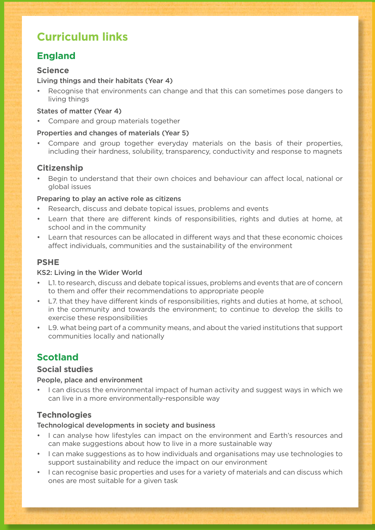# **Curriculum links**

## **England**

#### **Science**

#### Living things and their habitats (Year 4)

• Recognise that environments can change and that this can sometimes pose dangers to living things

#### States of matter (Year 4)

• Compare and group materials together

#### Properties and changes of materials (Year 5)

Compare and group together everyday materials on the basis of their properties, including their hardness, solubility, transparency, conductivity and response to magnets

#### **Citizenship**

• Begin to understand that their own choices and behaviour can affect local, national or global issues

#### Preparing to play an active role as citizens

- Research, discuss and debate topical issues, problems and events
- Learn that there are different kinds of responsibilities, rights and duties at home, at school and in the community
- Learn that resources can be allocated in different ways and that these economic choices affect individuals, communities and the sustainability of the environment

#### **PSHE**

#### KS2: Living in the Wider World

- L1. to research, discuss and debate topical issues, problems and events that are of concern to them and offer their recommendations to appropriate people
- L7. that they have different kinds of responsibilities, rights and duties at home, at school, in the community and towards the environment; to continue to develop the skills to exercise these responsibilities
- L9. what being part of a community means, and about the varied institutions that support communities locally and nationally

## **Scotland**

#### **Social studies**

#### People, place and environment

I can discuss the environmental impact of human activity and suggest ways in which we can live in a more environmentally-responsible way

#### **Technologies**

#### Technological developments in society and business

- I can analyse how lifestyles can impact on the environment and Earth's resources and can make suggestions about how to live in a more sustainable way
- I can make suggestions as to how individuals and organisations may use technologies to support sustainability and reduce the impact on our environment
- I can recognise basic properties and uses for a variety of materials and can discuss which ones are most suitable for a given task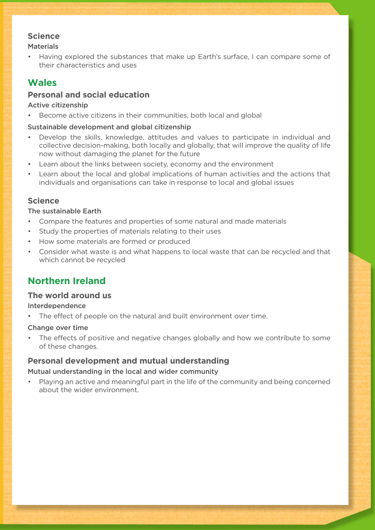#### **Science**

#### **Materials**

• Having explored the substances that make up Earth's surface, I can compare some of their characteristics and uses

## **Wales**

### **Personal and social education**

#### Active citizenship

Become active citizens in their communities, both local and global

#### Sustainable development and global citizenship

- Develop the skills, knowledge, attitudes and values to participate in individual and collective decision-making, both locally and globally, that will improve the quality of life now without damaging the planet for the future
- Learn about the links between society, economy and the environment
- Learn about the local and global implications of human activities and the actions that individuals and organisations can take in response to local and global issues

#### **Science**

#### The sustainable Earth

- Compare the features and properties of some natural and made materials
- Study the properties of materials relating to their uses
- How some materials are formed or produced
- Consider what waste is and what happens to local waste that can be recycled and that which cannot be recycled

## **Northern Ireland**

#### **The world around us**

#### Interdependence

The effect of people on the natural and built environment over time.

#### Change over time

The effects of positive and negative changes globally and how we contribute to some of these changes.

#### **Personal development and mutual understanding**

#### Mutual understanding in the local and wider community

Playing an active and meaningful part in the life of the community and being concerned about the wider environment.